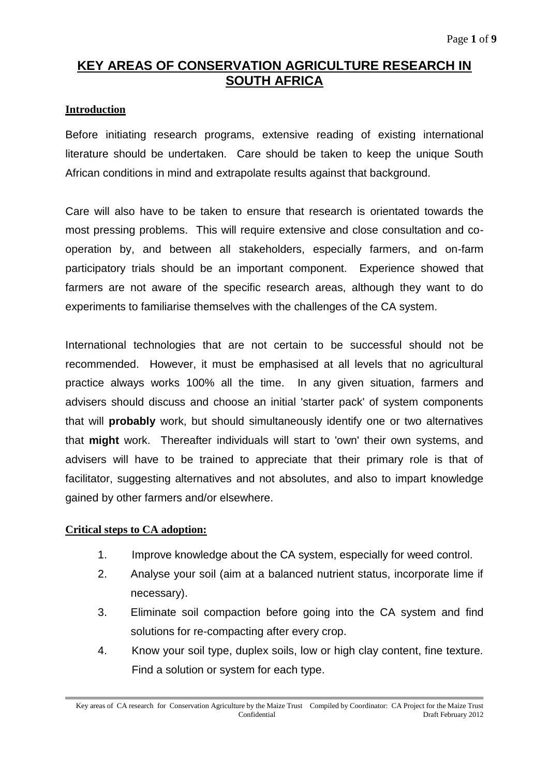# **KEY AREAS OF CONSERVATION AGRICULTURE RESEARCH IN SOUTH AFRICA**

## **Introduction**

Before initiating research programs, extensive reading of existing international literature should be undertaken. Care should be taken to keep the unique South African conditions in mind and extrapolate results against that background.

Care will also have to be taken to ensure that research is orientated towards the most pressing problems. This will require extensive and close consultation and cooperation by, and between all stakeholders, especially farmers, and on-farm participatory trials should be an important component. Experience showed that farmers are not aware of the specific research areas, although they want to do experiments to familiarise themselves with the challenges of the CA system.

International technologies that are not certain to be successful should not be recommended. However, it must be emphasised at all levels that no agricultural practice always works 100% all the time. In any given situation, farmers and advisers should discuss and choose an initial 'starter pack' of system components that will **probably** work, but should simultaneously identify one or two alternatives that **might** work. Thereafter individuals will start to 'own' their own systems, and advisers will have to be trained to appreciate that their primary role is that of facilitator, suggesting alternatives and not absolutes, and also to impart knowledge gained by other farmers and/or elsewhere.

#### **Critical steps to CA adoption:**

- 1. Improve knowledge about the CA system, especially for weed control.
- 2. Analyse your soil (aim at a balanced nutrient status, incorporate lime if necessary).
- 3. Eliminate soil compaction before going into the CA system and find solutions for re-compacting after every crop.
- 4. Know your soil type, duplex soils, low or high clay content, fine texture. Find a solution or system for each type.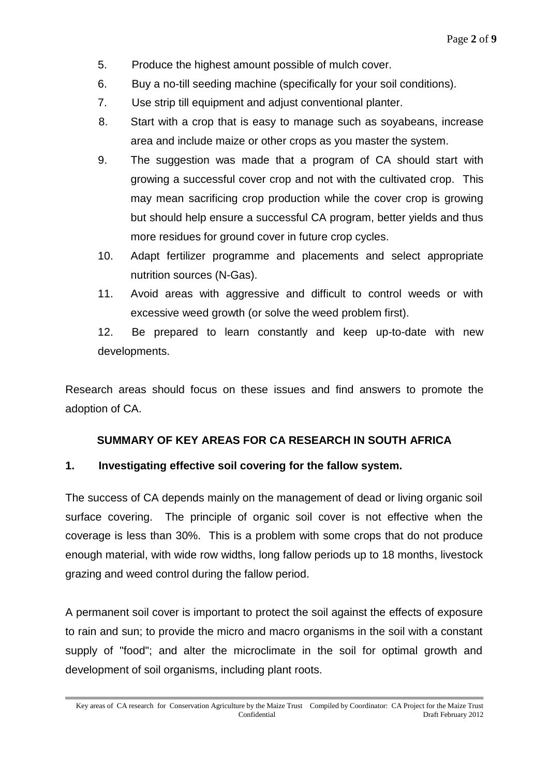- 5. Produce the highest amount possible of mulch cover.
- 6. Buy a no-till seeding machine (specifically for your soil conditions).
- 7. Use strip till equipment and adjust conventional planter.
- 8. Start with a crop that is easy to manage such as soyabeans, increase area and include maize or other crops as you master the system.
- 9. The suggestion was made that a program of CA should start with growing a successful cover crop and not with the cultivated crop. This may mean sacrificing crop production while the cover crop is growing but should help ensure a successful CA program, better yields and thus more residues for ground cover in future crop cycles.
- 10. Adapt fertilizer programme and placements and select appropriate nutrition sources (N-Gas).
- 11. Avoid areas with aggressive and difficult to control weeds or with excessive weed growth (or solve the weed problem first).

12. Be prepared to learn constantly and keep up-to-date with new developments.

Research areas should focus on these issues and find answers to promote the adoption of CA.

## **SUMMARY OF KEY AREAS FOR CA RESEARCH IN SOUTH AFRICA**

#### **1. Investigating effective soil covering for the fallow system.**

The success of CA depends mainly on the management of dead or living organic soil surface covering. The principle of organic soil cover is not effective when the coverage is less than 30%. This is a problem with some crops that do not produce enough material, with wide row widths, long fallow periods up to 18 months, livestock grazing and weed control during the fallow period.

A permanent soil cover is important to protect the soil against the effects of exposure to rain and sun; to provide the micro and macro organisms in the soil with a constant supply of "food"; and alter the microclimate in the soil for optimal growth and development of soil organisms, including plant roots.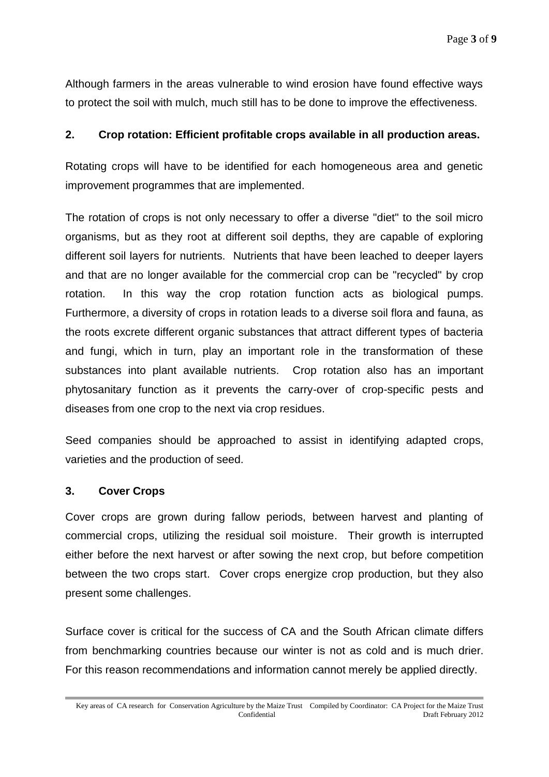Although farmers in the areas vulnerable to wind erosion have found effective ways to protect the soil with mulch, much still has to be done to improve the effectiveness.

## **2. Crop rotation: Efficient profitable crops available in all production areas.**

Rotating crops will have to be identified for each homogeneous area and genetic improvement programmes that are implemented.

The rotation of crops is not only necessary to offer a diverse "diet" to the soil micro organisms, but as they root at different soil depths, they are capable of exploring different soil layers for nutrients. Nutrients that have been leached to deeper layers and that are no longer available for the commercial crop can be "recycled" by crop rotation. In this way the crop rotation function acts as biological pumps. Furthermore, a diversity of crops in rotation leads to a diverse soil flora and fauna, as the roots excrete different organic substances that attract different types of bacteria and fungi, which in turn, play an important role in the transformation of these substances into plant available nutrients. Crop rotation also has an important phytosanitary function as it prevents the carry-over of crop-specific pests and diseases from one crop to the next via crop residues.

Seed companies should be approached to assist in identifying adapted crops, varieties and the production of seed.

#### **3. Cover Crops**

Cover crops are grown during fallow periods, between harvest and planting of commercial crops, utilizing the residual soil moisture. Their growth is interrupted either before the next harvest or after sowing the next crop, but before competition between the two crops start. Cover crops energize crop production, but they also present some challenges.

Surface cover is critical for the success of CA and the South African climate differs from benchmarking countries because our winter is not as cold and is much drier. For this reason recommendations and information cannot merely be applied directly.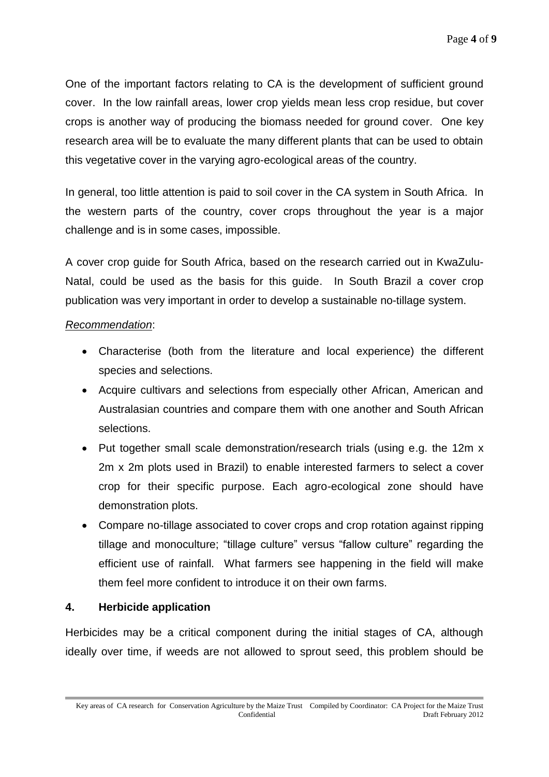One of the important factors relating to CA is the development of sufficient ground cover. In the low rainfall areas, lower crop yields mean less crop residue, but cover crops is another way of producing the biomass needed for ground cover. One key research area will be to evaluate the many different plants that can be used to obtain this vegetative cover in the varying agro-ecological areas of the country.

In general, too little attention is paid to soil cover in the CA system in South Africa. In the western parts of the country, cover crops throughout the year is a major challenge and is in some cases, impossible.

A cover crop guide for South Africa, based on the research carried out in KwaZulu-Natal, could be used as the basis for this guide. In South Brazil a cover crop publication was very important in order to develop a sustainable no-tillage system.

## *Recommendation*:

- Characterise (both from the literature and local experience) the different species and selections.
- Acquire cultivars and selections from especially other African, American and Australasian countries and compare them with one another and South African selections.
- Put together small scale demonstration/research trials (using e.g. the 12m x 2m x 2m plots used in Brazil) to enable interested farmers to select a cover crop for their specific purpose. Each agro-ecological zone should have demonstration plots.
- Compare no-tillage associated to cover crops and crop rotation against ripping tillage and monoculture; "tillage culture" versus "fallow culture" regarding the efficient use of rainfall. What farmers see happening in the field will make them feel more confident to introduce it on their own farms.

# **4. Herbicide application**

Herbicides may be a critical component during the initial stages of CA, although ideally over time, if weeds are not allowed to sprout seed, this problem should be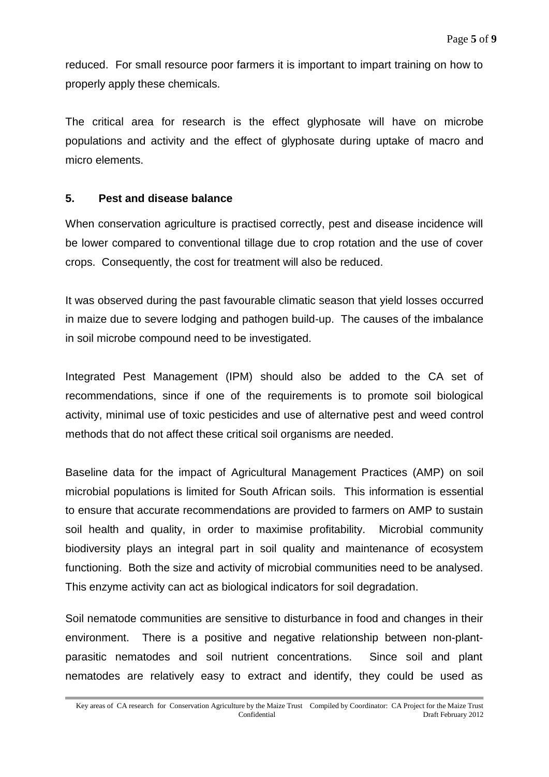reduced. For small resource poor farmers it is important to impart training on how to properly apply these chemicals.

The critical area for research is the effect glyphosate will have on microbe populations and activity and the effect of glyphosate during uptake of macro and micro elements.

#### **5. Pest and disease balance**

When conservation agriculture is practised correctly, pest and disease incidence will be lower compared to conventional tillage due to crop rotation and the use of cover crops. Consequently, the cost for treatment will also be reduced.

It was observed during the past favourable climatic season that yield losses occurred in maize due to severe lodging and pathogen build-up. The causes of the imbalance in soil microbe compound need to be investigated.

Integrated Pest Management (IPM) should also be added to the CA set of recommendations, since if one of the requirements is to promote soil biological activity, minimal use of toxic pesticides and use of alternative pest and weed control methods that do not affect these critical soil organisms are needed.

Baseline data for the impact of Agricultural Management Practices (AMP) on soil microbial populations is limited for South African soils. This information is essential to ensure that accurate recommendations are provided to farmers on AMP to sustain soil health and quality, in order to maximise profitability. Microbial community biodiversity plays an integral part in soil quality and maintenance of ecosystem functioning. Both the size and activity of microbial communities need to be analysed. This enzyme activity can act as biological indicators for soil degradation.

Soil nematode communities are sensitive to disturbance in food and changes in their environment. There is a positive and negative relationship between non-plantparasitic nematodes and soil nutrient concentrations. Since soil and plant nematodes are relatively easy to extract and identify, they could be used as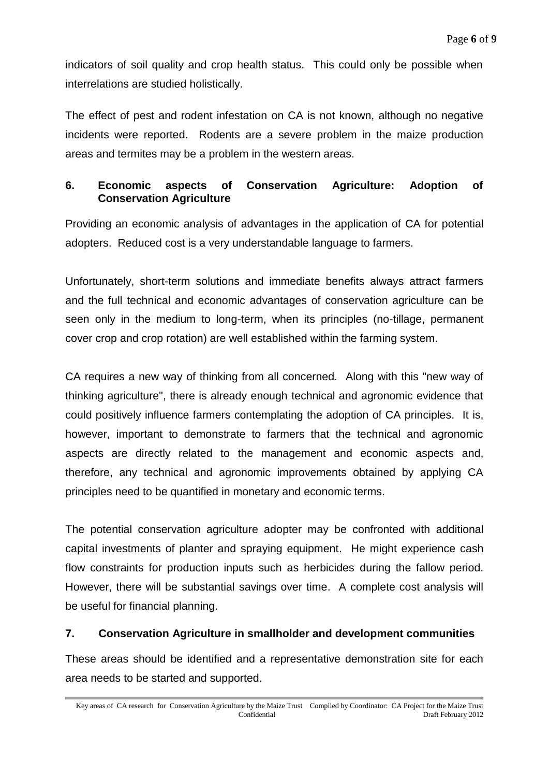indicators of soil quality and crop health status. This could only be possible when interrelations are studied holistically.

The effect of pest and rodent infestation on CA is not known, although no negative incidents were reported. Rodents are a severe problem in the maize production areas and termites may be a problem in the western areas.

# **6. Economic aspects of Conservation Agriculture: Adoption of Conservation Agriculture**

Providing an economic analysis of advantages in the application of CA for potential adopters. Reduced cost is a very understandable language to farmers.

Unfortunately, short-term solutions and immediate benefits always attract farmers and the full technical and economic advantages of conservation agriculture can be seen only in the medium to long-term, when its principles (no-tillage, permanent cover crop and crop rotation) are well established within the farming system.

CA requires a new way of thinking from all concerned. Along with this "new way of thinking agriculture", there is already enough technical and agronomic evidence that could positively influence farmers contemplating the adoption of CA principles. It is, however, important to demonstrate to farmers that the technical and agronomic aspects are directly related to the management and economic aspects and, therefore, any technical and agronomic improvements obtained by applying CA principles need to be quantified in monetary and economic terms.

The potential conservation agriculture adopter may be confronted with additional capital investments of planter and spraying equipment. He might experience cash flow constraints for production inputs such as herbicides during the fallow period. However, there will be substantial savings over time. A complete cost analysis will be useful for financial planning.

# **7. Conservation Agriculture in smallholder and development communities**

These areas should be identified and a representative demonstration site for each area needs to be started and supported.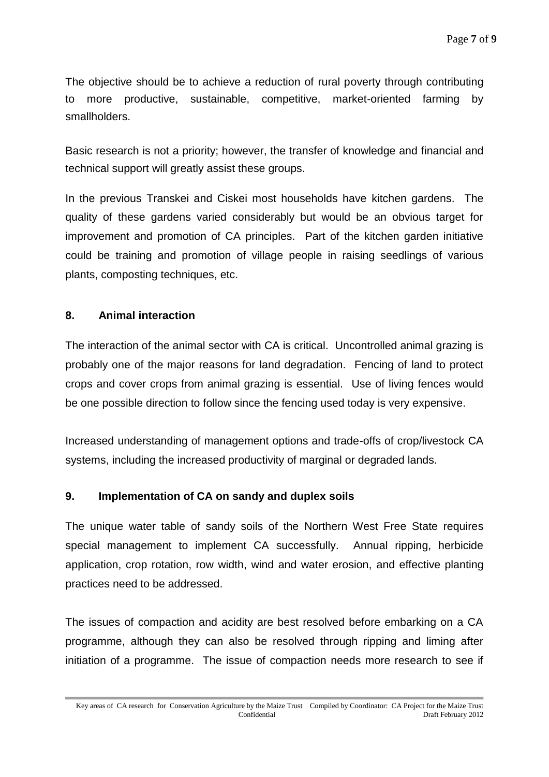The objective should be to achieve a reduction of rural poverty through contributing to more productive, sustainable, competitive, market-oriented farming by smallholders.

Basic research is not a priority; however, the transfer of knowledge and financial and technical support will greatly assist these groups.

In the previous Transkei and Ciskei most households have kitchen gardens. The quality of these gardens varied considerably but would be an obvious target for improvement and promotion of CA principles. Part of the kitchen garden initiative could be training and promotion of village people in raising seedlings of various plants, composting techniques, etc.

# **8. Animal interaction**

The interaction of the animal sector with CA is critical. Uncontrolled animal grazing is probably one of the major reasons for land degradation. Fencing of land to protect crops and cover crops from animal grazing is essential. Use of living fences would be one possible direction to follow since the fencing used today is very expensive.

Increased understanding of management options and trade-offs of crop/livestock CA systems, including the increased productivity of marginal or degraded lands.

# **9. Implementation of CA on sandy and duplex soils**

The unique water table of sandy soils of the Northern West Free State requires special management to implement CA successfully. Annual ripping, herbicide application, crop rotation, row width, wind and water erosion, and effective planting practices need to be addressed.

The issues of compaction and acidity are best resolved before embarking on a CA programme, although they can also be resolved through ripping and liming after initiation of a programme. The issue of compaction needs more research to see if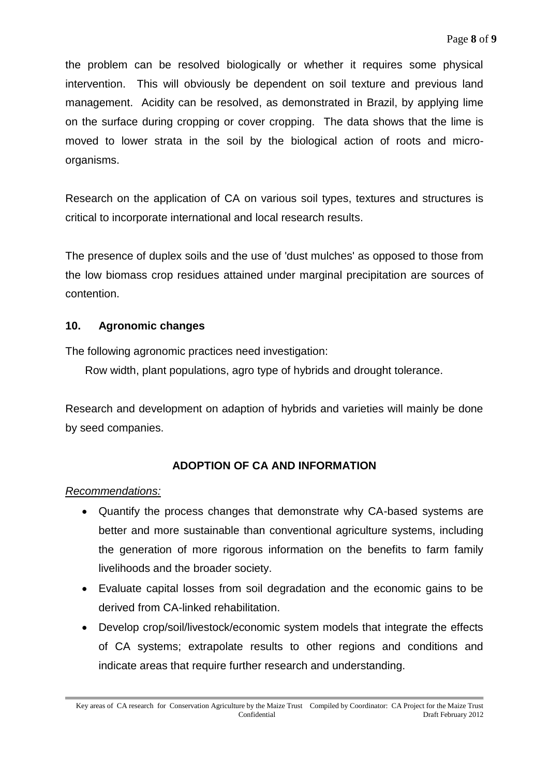the problem can be resolved biologically or whether it requires some physical intervention. This will obviously be dependent on soil texture and previous land management. Acidity can be resolved, as demonstrated in Brazil, by applying lime on the surface during cropping or cover cropping. The data shows that the lime is moved to lower strata in the soil by the biological action of roots and microorganisms.

Research on the application of CA on various soil types, textures and structures is critical to incorporate international and local research results.

The presence of duplex soils and the use of 'dust mulches' as opposed to those from the low biomass crop residues attained under marginal precipitation are sources of contention.

# **10. Agronomic changes**

The following agronomic practices need investigation:

Row width, plant populations, agro type of hybrids and drought tolerance.

Research and development on adaption of hybrids and varieties will mainly be done by seed companies.

# **ADOPTION OF CA AND INFORMATION**

#### *Recommendations:*

- Quantify the process changes that demonstrate why CA-based systems are better and more sustainable than conventional agriculture systems, including the generation of more rigorous information on the benefits to farm family livelihoods and the broader society.
- Evaluate capital losses from soil degradation and the economic gains to be derived from CA-linked rehabilitation.
- Develop crop/soil/livestock/economic system models that integrate the effects of CA systems; extrapolate results to other regions and conditions and indicate areas that require further research and understanding.